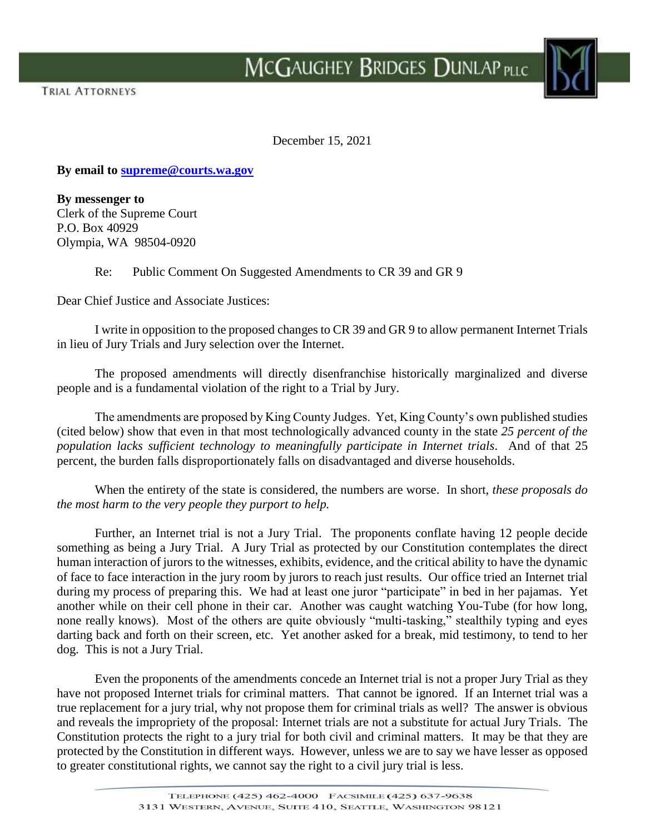

December 15, 2021

**By email to [supreme@courts.wa.gov](mailto:supreme@courts.wa.gov)**

**By messenger to** Clerk of the Supreme Court P.O. Box 40929 Olympia, WA 98504-0920

Re: Public Comment On Suggested Amendments to CR 39 and GR 9

Dear Chief Justice and Associate Justices:

I write in opposition to the proposed changes to CR 39 and GR 9 to allow permanent Internet Trials in lieu of Jury Trials and Jury selection over the Internet.

The proposed amendments will directly disenfranchise historically marginalized and diverse people and is a fundamental violation of the right to a Trial by Jury.

The amendments are proposed by King County Judges. Yet, King County's own published studies (cited below) show that even in that most technologically advanced county in the state *25 percent of the population lacks sufficient technology to meaningfully participate in Internet trials*. And of that 25 percent, the burden falls disproportionately falls on disadvantaged and diverse households.

When the entirety of the state is considered, the numbers are worse. In short, *these proposals do the most harm to the very people they purport to help.*

Further, an Internet trial is not a Jury Trial. The proponents conflate having 12 people decide something as being a Jury Trial. A Jury Trial as protected by our Constitution contemplates the direct human interaction of jurors to the witnesses, exhibits, evidence, and the critical ability to have the dynamic of face to face interaction in the jury room by jurors to reach just results. Our office tried an Internet trial during my process of preparing this. We had at least one juror "participate" in bed in her pajamas. Yet another while on their cell phone in their car. Another was caught watching You-Tube (for how long, none really knows). Most of the others are quite obviously "multi-tasking," stealthily typing and eyes darting back and forth on their screen, etc. Yet another asked for a break, mid testimony, to tend to her dog. This is not a Jury Trial.

Even the proponents of the amendments concede an Internet trial is not a proper Jury Trial as they have not proposed Internet trials for criminal matters. That cannot be ignored. If an Internet trial was a true replacement for a jury trial, why not propose them for criminal trials as well? The answer is obvious and reveals the impropriety of the proposal: Internet trials are not a substitute for actual Jury Trials. The Constitution protects the right to a jury trial for both civil and criminal matters. It may be that they are protected by the Constitution in different ways. However, unless we are to say we have lesser as opposed to greater constitutional rights, we cannot say the right to a civil jury trial is less.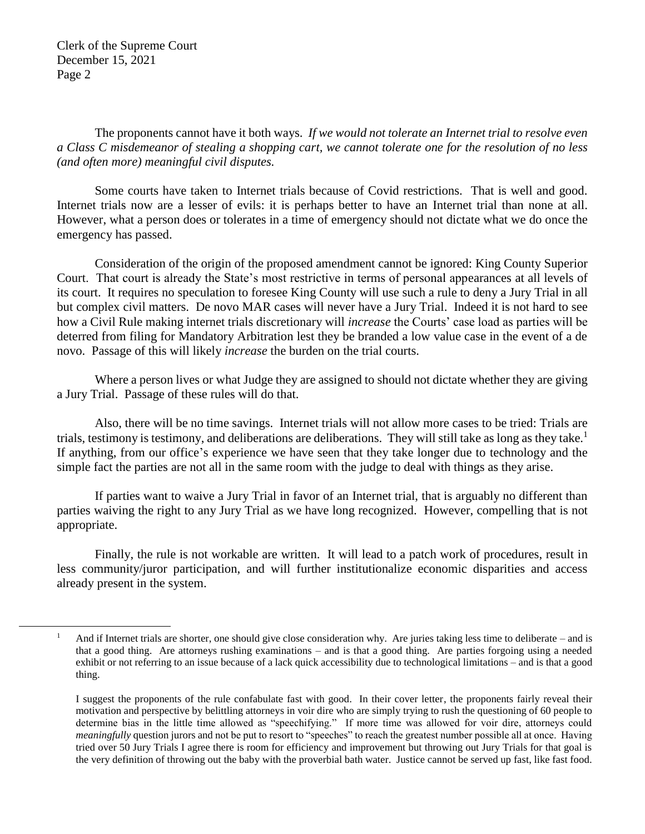$\overline{a}$ 

The proponents cannot have it both ways. *If we would not tolerate an Internet trial to resolve even a Class C misdemeanor of stealing a shopping cart, we cannot tolerate one for the resolution of no less (and often more) meaningful civil disputes.*

Some courts have taken to Internet trials because of Covid restrictions. That is well and good. Internet trials now are a lesser of evils: it is perhaps better to have an Internet trial than none at all. However, what a person does or tolerates in a time of emergency should not dictate what we do once the emergency has passed.

Consideration of the origin of the proposed amendment cannot be ignored: King County Superior Court. That court is already the State's most restrictive in terms of personal appearances at all levels of its court. It requires no speculation to foresee King County will use such a rule to deny a Jury Trial in all but complex civil matters. De novo MAR cases will never have a Jury Trial. Indeed it is not hard to see how a Civil Rule making internet trials discretionary will *increase* the Courts' case load as parties will be deterred from filing for Mandatory Arbitration lest they be branded a low value case in the event of a de novo. Passage of this will likely *increase* the burden on the trial courts.

Where a person lives or what Judge they are assigned to should not dictate whether they are giving a Jury Trial. Passage of these rules will do that.

Also, there will be no time savings. Internet trials will not allow more cases to be tried: Trials are trials, testimony is testimony, and deliberations are deliberations. They will still take as long as they take.<sup>1</sup> If anything, from our office's experience we have seen that they take longer due to technology and the simple fact the parties are not all in the same room with the judge to deal with things as they arise.

If parties want to waive a Jury Trial in favor of an Internet trial, that is arguably no different than parties waiving the right to any Jury Trial as we have long recognized. However, compelling that is not appropriate.

Finally, the rule is not workable are written. It will lead to a patch work of procedures, result in less community/juror participation, and will further institutionalize economic disparities and access already present in the system.

<sup>&</sup>lt;sup>1</sup> And if Internet trials are shorter, one should give close consideration why. Are juries taking less time to deliberate – and is that a good thing. Are attorneys rushing examinations – and is that a good thing. Are parties forgoing using a needed exhibit or not referring to an issue because of a lack quick accessibility due to technological limitations – and is that a good thing.

I suggest the proponents of the rule confabulate fast with good. In their cover letter, the proponents fairly reveal their motivation and perspective by belittling attorneys in voir dire who are simply trying to rush the questioning of 60 people to determine bias in the little time allowed as "speechifying." If more time was allowed for voir dire, attorneys could *meaningfully* question jurors and not be put to resort to "speeches" to reach the greatest number possible all at once. Having tried over 50 Jury Trials I agree there is room for efficiency and improvement but throwing out Jury Trials for that goal is the very definition of throwing out the baby with the proverbial bath water. Justice cannot be served up fast, like fast food.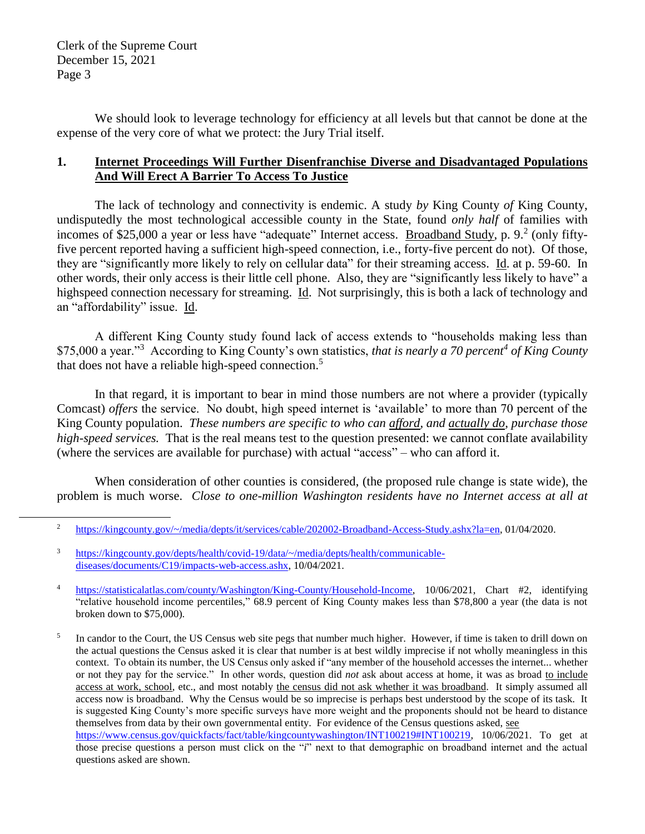$\overline{a}$ 

We should look to leverage technology for efficiency at all levels but that cannot be done at the expense of the very core of what we protect: the Jury Trial itself.

# **1. Internet Proceedings Will Further Disenfranchise Diverse and Disadvantaged Populations And Will Erect A Barrier To Access To Justice**

The lack of technology and connectivity is endemic. A study *by* King County *of* King County, undisputedly the most technological accessible county in the State, found *only half* of families with incomes of \$25,000 a year or less have "adequate" Internet access. Broadband Study, p. 9.<sup>2</sup> (only fiftyfive percent reported having a sufficient high-speed connection, i.e., forty-five percent do not). Of those, they are "significantly more likely to rely on cellular data" for their streaming access. Id. at p. 59-60. In other words, their only access is their little cell phone. Also, they are "significantly less likely to have" a highspeed connection necessary for streaming. Id. Not surprisingly, this is both a lack of technology and an "affordability" issue. Id.

A different King County study found lack of access extends to "households making less than \$75,000 a year."<sup>3</sup> According to King County's own statistics, *that is nearly a 70 percent<sup>4</sup> of King County* that does not have a reliable high-speed connection.<sup>5</sup>

In that regard, it is important to bear in mind those numbers are not where a provider (typically Comcast) *offers* the service. No doubt, high speed internet is 'available' to more than 70 percent of the King County population. *These numbers are specific to who can afford, and actually do, purchase those high-speed services.* That is the real means test to the question presented: we cannot conflate availability (where the services are available for purchase) with actual "access" – who can afford it.

When consideration of other counties is considered, (the proposed rule change is state wide), the problem is much worse. *Close to one-million Washington residents have no Internet access at all at* 

<sup>2</sup> [https://kingcounty.gov/~/media/depts/it/services/cable/202002-Broadband-Access-Study.ashx?la=en,](https://kingcounty.gov/~/media/depts/it/services/cable/202002-Broadband-Access-Study.ashx?la=en) 01/04/2020.

<sup>3</sup> [https://kingcounty.gov/depts/health/covid-19/data/~/media/depts/health/communicable](https://kingcounty.gov/depts/health/covid-19/data/~/media/depts/health/communicable-diseases/documents/C19/impacts-web-access.ashx)[diseases/documents/C19/impacts-web-access.ashx,](https://kingcounty.gov/depts/health/covid-19/data/~/media/depts/health/communicable-diseases/documents/C19/impacts-web-access.ashx) 10/04/2021.

<sup>4</sup> [https://statisticalatlas.com/county/Washington/King-County/Household-Income,](https://statisticalatlas.com/county/Washington/King-County/Household-Income) 10/06/2021, Chart #2, identifying "relative household income percentiles," 68.9 percent of King County makes less than \$78,800 a year (the data is not broken down to \$75,000).

<sup>5</sup> In candor to the Court, the US Census web site pegs that number much higher. However, if time is taken to drill down on the actual questions the Census asked it is clear that number is at best wildly imprecise if not wholly meaningless in this context. To obtain its number, the US Census only asked if "any member of the household accesses the internet... whether or not they pay for the service." In other words, question did *not* ask about access at home, it was as broad to include access at work, school, etc., and most notably the census did not ask whether it was broadband. It simply assumed all access now is broadband. Why the Census would be so imprecise is perhaps best understood by the scope of its task. It is suggested King County's more specific surveys have more weight and the proponents should not be heard to distance themselves from data by their own governmental entity. For evidence of the Census questions asked, see [https://www.census.gov/quickfacts/fact/table/kingcountywashington/INT100219#INT100219,](https://www.census.gov/quickfacts/fact/table/kingcountywashington/INT100219#INT100219) 10/06/2021. To get at those precise questions a person must click on the "*i*" next to that demographic on broadband internet and the actual questions asked are shown.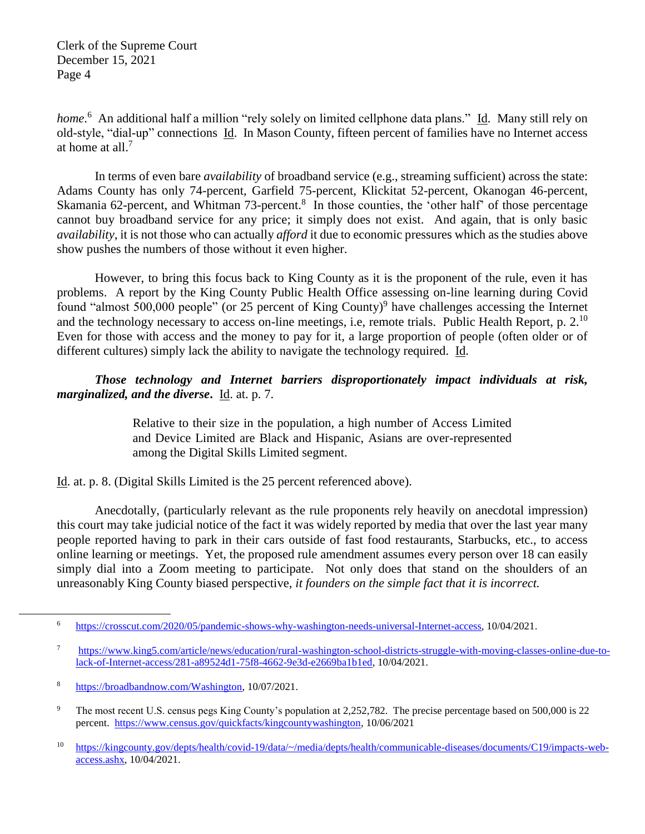home.<sup>6</sup> An additional half a million "rely solely on limited cellphone data plans." Id. Many still rely on old-style, "dial-up" connections Id. In Mason County, fifteen percent of families have no Internet access at home at all. 7

In terms of even bare *availability* of broadband service (e.g., streaming sufficient) across the state: Adams County has only 74-percent, Garfield 75-percent, Klickitat 52-percent, Okanogan 46-percent, Skamania 62-percent, and Whitman 73-percent.<sup>8</sup> In those counties, the 'other half' of those percentage cannot buy broadband service for any price; it simply does not exist. And again, that is only basic *availability*, it is not those who can actually *afford* it due to economic pressures which as the studies above show pushes the numbers of those without it even higher.

However, to bring this focus back to King County as it is the proponent of the rule, even it has problems. A report by the King County Public Health Office assessing on-line learning during Covid found "almost 500,000 people" (or 25 percent of King County)<sup>9</sup> have challenges accessing the Internet and the technology necessary to access on-line meetings, i.e, remote trials. Public Health Report, p.  $2^{10}$ Even for those with access and the money to pay for it, a large proportion of people (often older or of different cultures) simply lack the ability to navigate the technology required. Id.

# *Those technology and Internet barriers disproportionately impact individuals at risk, marginalized, and the diverse***.** Id. at. p. 7.

Relative to their size in the population, a high number of Access Limited and Device Limited are Black and Hispanic, Asians are over-represented among the Digital Skills Limited segment.

Id. at. p. 8. (Digital Skills Limited is the 25 percent referenced above).

Anecdotally, (particularly relevant as the rule proponents rely heavily on anecdotal impression) this court may take judicial notice of the fact it was widely reported by media that over the last year many people reported having to park in their cars outside of fast food restaurants, Starbucks, etc., to access online learning or meetings. Yet, the proposed rule amendment assumes every person over 18 can easily simply dial into a Zoom meeting to participate. Not only does that stand on the shoulders of an unreasonably King County biased perspective, *it founders on the simple fact that it is incorrect.*

 $\overline{a}$ 

<sup>6</sup> [https://crosscut.com/2020/05/pandemic-shows-why-washington-needs-universal-Internet-access,](https://crosscut.com/2020/05/pandemic-shows-why-washington-needs-universal-internet-access) 10/04/2021.

<sup>7</sup> [https://www.king5.com/article/news/education/rural-washington-school-districts-struggle-with-moving-classes-online-due-to](https://www.king5.com/article/news/education/rural-washington-school-districts-struggle-with-moving-classes-online-due-to-lack-of-internet-access/281-a89524d1-75f8-4662-9e3d-e2669ba1b1ed)[lack-of-Internet-access/281-a89524d1-75f8-4662-9e3d-e2669ba1b1ed,](https://www.king5.com/article/news/education/rural-washington-school-districts-struggle-with-moving-classes-online-due-to-lack-of-internet-access/281-a89524d1-75f8-4662-9e3d-e2669ba1b1ed) 10/04/2021.

<sup>8</sup> [https://broadbandnow.com/Washington,](https://broadbandnow.com/Washington) 10/07/2021.

<sup>&</sup>lt;sup>9</sup> The most recent U.S. census pegs King County's population at 2,252,782. The precise percentage based on 500,000 is 22 percent. [https://www.census.gov/quickfacts/kingcountywashington,](https://www.census.gov/quickfacts/kingcountywashington) 10/06/2021

<sup>10</sup> [https://kingcounty.gov/depts/health/covid-19/data/~/media/depts/health/communicable-diseases/documents/C19/impacts-web](https://kingcounty.gov/depts/health/covid-19/data/~/media/depts/health/communicable-diseases/documents/C19/impacts-web-access.ashx)[access.ashx,](https://kingcounty.gov/depts/health/covid-19/data/~/media/depts/health/communicable-diseases/documents/C19/impacts-web-access.ashx) 10/04/2021.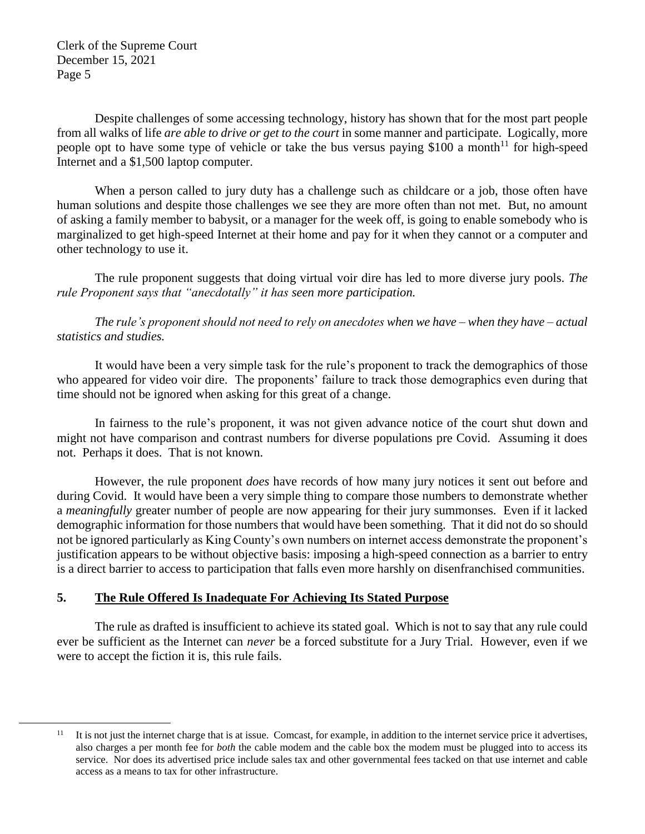$\overline{a}$ 

Despite challenges of some accessing technology, history has shown that for the most part people from all walks of life *are able to drive or get to the court* in some manner and participate. Logically, more people opt to have some type of vehicle or take the bus versus paying \$100 a month<sup>11</sup> for high-speed Internet and a \$1,500 laptop computer.

When a person called to jury duty has a challenge such as childcare or a job, those often have human solutions and despite those challenges we see they are more often than not met. But, no amount of asking a family member to babysit, or a manager for the week off, is going to enable somebody who is marginalized to get high-speed Internet at their home and pay for it when they cannot or a computer and other technology to use it.

The rule proponent suggests that doing virtual voir dire has led to more diverse jury pools. *The rule Proponent says that "anecdotally" it has seen more participation.*

*The rule's proponent should not need to rely on anecdotes when we have – when they have – actual statistics and studies.* 

It would have been a very simple task for the rule's proponent to track the demographics of those who appeared for video voir dire. The proponents' failure to track those demographics even during that time should not be ignored when asking for this great of a change.

In fairness to the rule's proponent, it was not given advance notice of the court shut down and might not have comparison and contrast numbers for diverse populations pre Covid. Assuming it does not. Perhaps it does. That is not known.

However, the rule proponent *does* have records of how many jury notices it sent out before and during Covid. It would have been a very simple thing to compare those numbers to demonstrate whether a *meaningfully* greater number of people are now appearing for their jury summonses. Even if it lacked demographic information for those numbers that would have been something. That it did not do so should not be ignored particularly as King County's own numbers on internet access demonstrate the proponent's justification appears to be without objective basis: imposing a high-speed connection as a barrier to entry is a direct barrier to access to participation that falls even more harshly on disenfranchised communities.

# **5. The Rule Offered Is Inadequate For Achieving Its Stated Purpose**

The rule as drafted is insufficient to achieve its stated goal. Which is not to say that any rule could ever be sufficient as the Internet can *never* be a forced substitute for a Jury Trial. However, even if we were to accept the fiction it is, this rule fails.

<sup>&</sup>lt;sup>11</sup> It is not just the internet charge that is at issue. Comcast, for example, in addition to the internet service price it advertises, also charges a per month fee for *both* the cable modem and the cable box the modem must be plugged into to access its service. Nor does its advertised price include sales tax and other governmental fees tacked on that use internet and cable access as a means to tax for other infrastructure.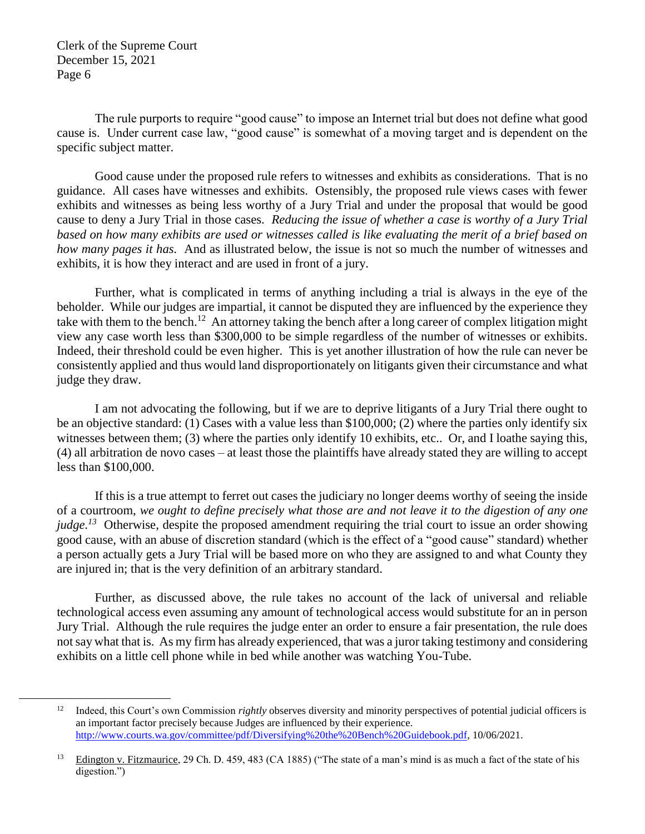$\overline{a}$ 

The rule purports to require "good cause" to impose an Internet trial but does not define what good cause is. Under current case law, "good cause" is somewhat of a moving target and is dependent on the specific subject matter.

Good cause under the proposed rule refers to witnesses and exhibits as considerations. That is no guidance. All cases have witnesses and exhibits. Ostensibly, the proposed rule views cases with fewer exhibits and witnesses as being less worthy of a Jury Trial and under the proposal that would be good cause to deny a Jury Trial in those cases. *Reducing the issue of whether a case is worthy of a Jury Trial based on how many exhibits are used or witnesses called is like evaluating the merit of a brief based on how many pages it has.* And as illustrated below, the issue is not so much the number of witnesses and exhibits, it is how they interact and are used in front of a jury.

Further, what is complicated in terms of anything including a trial is always in the eye of the beholder. While our judges are impartial, it cannot be disputed they are influenced by the experience they take with them to the bench.<sup>12</sup> An attorney taking the bench after a long career of complex litigation might view any case worth less than \$300,000 to be simple regardless of the number of witnesses or exhibits. Indeed, their threshold could be even higher. This is yet another illustration of how the rule can never be consistently applied and thus would land disproportionately on litigants given their circumstance and what judge they draw.

I am not advocating the following, but if we are to deprive litigants of a Jury Trial there ought to be an objective standard: (1) Cases with a value less than \$100,000; (2) where the parties only identify six witnesses between them; (3) where the parties only identify 10 exhibits, etc.. Or, and I loathe saying this, (4) all arbitration de novo cases – at least those the plaintiffs have already stated they are willing to accept less than \$100,000.

If this is a true attempt to ferret out cases the judiciary no longer deems worthy of seeing the inside of a courtroom, *we ought to define precisely what those are and not leave it to the digestion of any one judge.<sup>13</sup>* Otherwise, despite the proposed amendment requiring the trial court to issue an order showing good cause, with an abuse of discretion standard (which is the effect of a "good cause" standard) whether a person actually gets a Jury Trial will be based more on who they are assigned to and what County they are injured in; that is the very definition of an arbitrary standard.

Further, as discussed above, the rule takes no account of the lack of universal and reliable technological access even assuming any amount of technological access would substitute for an in person Jury Trial. Although the rule requires the judge enter an order to ensure a fair presentation, the rule does not say what that is. As my firm has already experienced, that was a juror taking testimony and considering exhibits on a little cell phone while in bed while another was watching You-Tube.

<sup>&</sup>lt;sup>12</sup> Indeed, this Court's own Commission *rightly* observes diversity and minority perspectives of potential judicial officers is an important factor precisely because Judges are influenced by their experience. [http://www.courts.wa.gov/committee/pdf/Diversifying%20the%20Bench%20Guidebook.pdf,](http://www.courts.wa.gov/committee/pdf/Diversifying%20the%20Bench%20Guidebook.pdf) 10/06/2021.

<sup>&</sup>lt;sup>13</sup> Edington v. Fitzmaurice, 29 Ch. D. 459, 483 (CA 1885) ("The state of a man's mind is as much a fact of the state of his digestion.")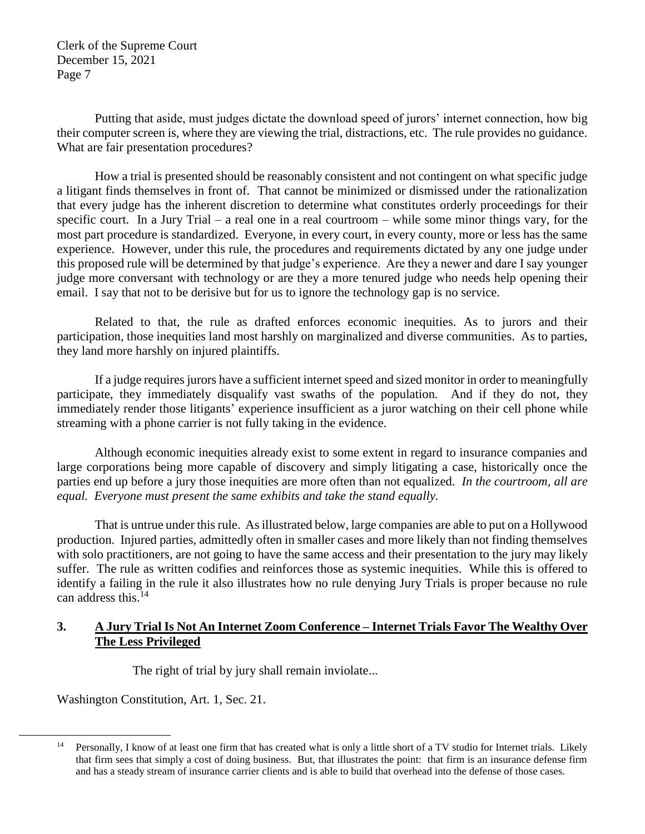Putting that aside, must judges dictate the download speed of jurors' internet connection, how big their computer screen is, where they are viewing the trial, distractions, etc. The rule provides no guidance. What are fair presentation procedures?

How a trial is presented should be reasonably consistent and not contingent on what specific judge a litigant finds themselves in front of. That cannot be minimized or dismissed under the rationalization that every judge has the inherent discretion to determine what constitutes orderly proceedings for their specific court. In a Jury Trial – a real one in a real courtroom – while some minor things vary, for the most part procedure is standardized. Everyone, in every court, in every county, more or less has the same experience. However, under this rule, the procedures and requirements dictated by any one judge under this proposed rule will be determined by that judge's experience. Are they a newer and dare I say younger judge more conversant with technology or are they a more tenured judge who needs help opening their email. I say that not to be derisive but for us to ignore the technology gap is no service.

Related to that, the rule as drafted enforces economic inequities. As to jurors and their participation, those inequities land most harshly on marginalized and diverse communities. As to parties, they land more harshly on injured plaintiffs.

If a judge requires jurors have a sufficient internet speed and sized monitor in order to meaningfully participate, they immediately disqualify vast swaths of the population. And if they do not, they immediately render those litigants' experience insufficient as a juror watching on their cell phone while streaming with a phone carrier is not fully taking in the evidence.

Although economic inequities already exist to some extent in regard to insurance companies and large corporations being more capable of discovery and simply litigating a case, historically once the parties end up before a jury those inequities are more often than not equalized. *In the courtroom, all are equal. Everyone must present the same exhibits and take the stand equally.*

That is untrue under this rule. As illustrated below, large companies are able to put on a Hollywood production. Injured parties, admittedly often in smaller cases and more likely than not finding themselves with solo practitioners, are not going to have the same access and their presentation to the jury may likely suffer. The rule as written codifies and reinforces those as systemic inequities. While this is offered to identify a failing in the rule it also illustrates how no rule denying Jury Trials is proper because no rule can address this.<sup>14</sup>

### **3. A Jury Trial Is Not An Internet Zoom Conference – Internet Trials Favor The Wealthy Over The Less Privileged**

The right of trial by jury shall remain inviolate...

Washington Constitution, Art. 1, Sec. 21.

 $\overline{a}$ 

Personally, I know of at least one firm that has created what is only a little short of a TV studio for Internet trials. Likely that firm sees that simply a cost of doing business. But, that illustrates the point: that firm is an insurance defense firm and has a steady stream of insurance carrier clients and is able to build that overhead into the defense of those cases.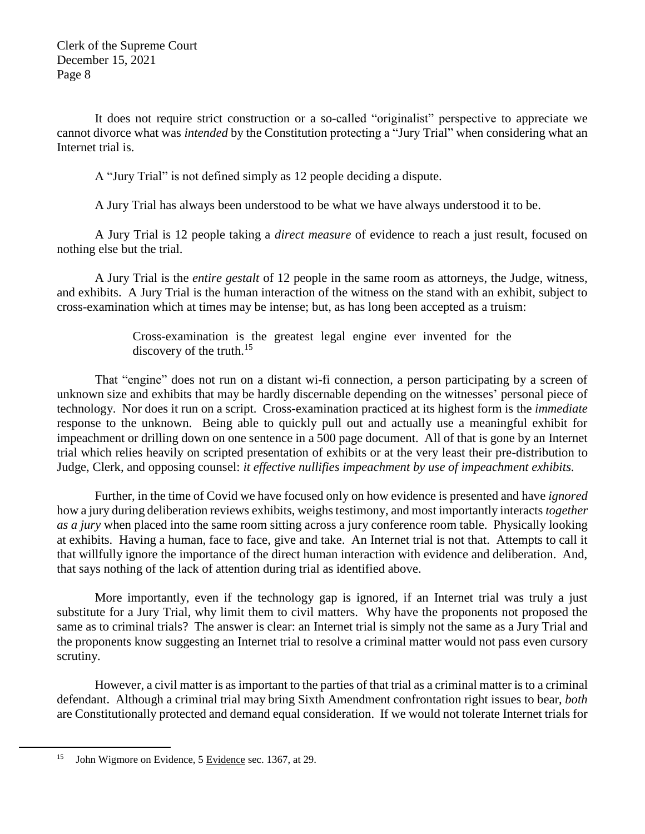It does not require strict construction or a so-called "originalist" perspective to appreciate we cannot divorce what was *intended* by the Constitution protecting a "Jury Trial" when considering what an Internet trial is.

A "Jury Trial" is not defined simply as 12 people deciding a dispute.

A Jury Trial has always been understood to be what we have always understood it to be.

A Jury Trial is 12 people taking a *direct measure* of evidence to reach a just result, focused on nothing else but the trial.

A Jury Trial is the *entire gestalt* of 12 people in the same room as attorneys, the Judge, witness, and exhibits. A Jury Trial is the human interaction of the witness on the stand with an exhibit, subject to cross-examination which at times may be intense; but, as has long been accepted as a truism:

> Cross-examination is the greatest legal engine ever invented for the discovery of the truth.<sup>15</sup>

That "engine" does not run on a distant wi-fi connection, a person participating by a screen of unknown size and exhibits that may be hardly discernable depending on the witnesses' personal piece of technology. Nor does it run on a script. Cross-examination practiced at its highest form is the *immediate* response to the unknown. Being able to quickly pull out and actually use a meaningful exhibit for impeachment or drilling down on one sentence in a 500 page document. All of that is gone by an Internet trial which relies heavily on scripted presentation of exhibits or at the very least their pre-distribution to Judge, Clerk, and opposing counsel: *it effective nullifies impeachment by use of impeachment exhibits.*

Further, in the time of Covid we have focused only on how evidence is presented and have *ignored* how a jury during deliberation reviews exhibits, weighs testimony, and most importantly interacts *together as a jury* when placed into the same room sitting across a jury conference room table. Physically looking at exhibits. Having a human, face to face, give and take. An Internet trial is not that. Attempts to call it that willfully ignore the importance of the direct human interaction with evidence and deliberation. And, that says nothing of the lack of attention during trial as identified above.

More importantly, even if the technology gap is ignored, if an Internet trial was truly a just substitute for a Jury Trial, why limit them to civil matters. Why have the proponents not proposed the same as to criminal trials? The answer is clear: an Internet trial is simply not the same as a Jury Trial and the proponents know suggesting an Internet trial to resolve a criminal matter would not pass even cursory scrutiny.

However, a civil matter is as important to the parties of that trial as a criminal matter is to a criminal defendant. Although a criminal trial may bring Sixth Amendment confrontation right issues to bear, *both* are Constitutionally protected and demand equal consideration. If we would not tolerate Internet trials for

 $\overline{a}$ 

<sup>15</sup> John Wigmore on Evidence, 5 Evidence sec. 1367, at 29.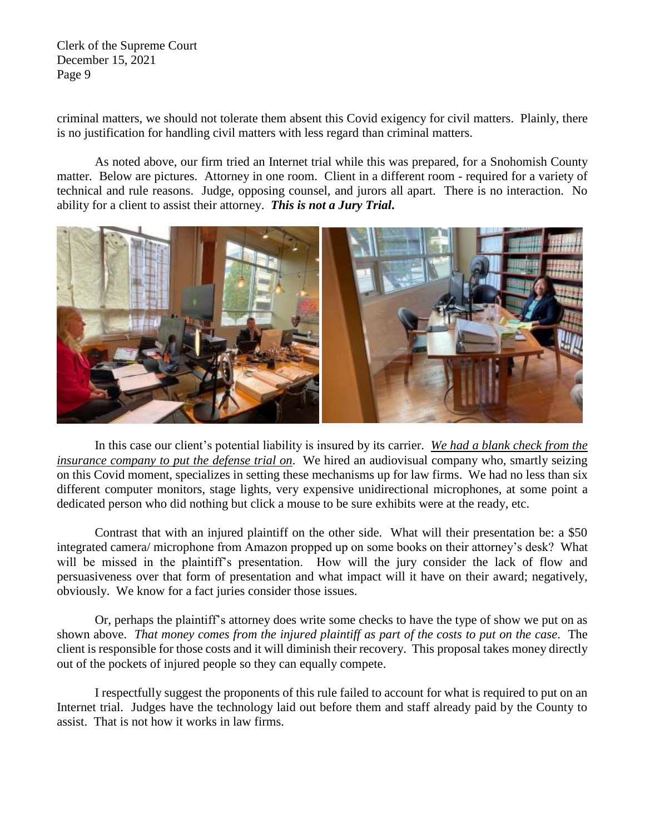criminal matters, we should not tolerate them absent this Covid exigency for civil matters. Plainly, there is no justification for handling civil matters with less regard than criminal matters.

As noted above, our firm tried an Internet trial while this was prepared, for a Snohomish County matter. Below are pictures. Attorney in one room. Client in a different room - required for a variety of technical and rule reasons. Judge, opposing counsel, and jurors all apart. There is no interaction. No ability for a client to assist their attorney. *This is not a Jury Trial***.**



In this case our client's potential liability is insured by its carrier. *We had a blank check from the insurance company to put the defense trial on*. We hired an audiovisual company who, smartly seizing on this Covid moment, specializes in setting these mechanisms up for law firms. We had no less than six different computer monitors, stage lights, very expensive unidirectional microphones, at some point a dedicated person who did nothing but click a mouse to be sure exhibits were at the ready, etc.

Contrast that with an injured plaintiff on the other side. What will their presentation be: a \$50 integrated camera/ microphone from Amazon propped up on some books on their attorney's desk? What will be missed in the plaintiff's presentation. How will the jury consider the lack of flow and persuasiveness over that form of presentation and what impact will it have on their award; negatively, obviously. We know for a fact juries consider those issues.

Or, perhaps the plaintiff's attorney does write some checks to have the type of show we put on as shown above. *That money comes from the injured plaintiff as part of the costs to put on the case*. The client is responsible for those costs and it will diminish their recovery. This proposal takes money directly out of the pockets of injured people so they can equally compete.

I respectfully suggest the proponents of this rule failed to account for what is required to put on an Internet trial. Judges have the technology laid out before them and staff already paid by the County to assist. That is not how it works in law firms.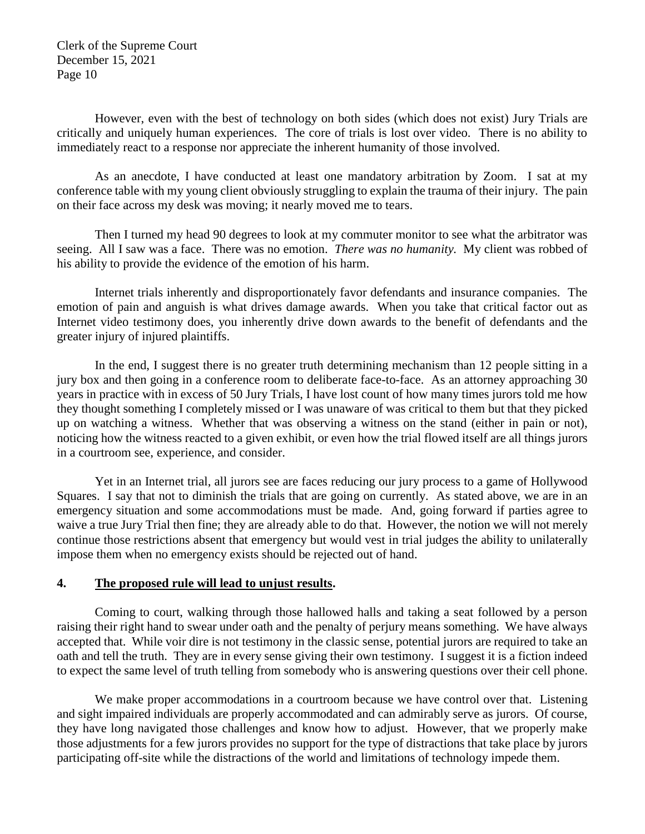However, even with the best of technology on both sides (which does not exist) Jury Trials are critically and uniquely human experiences. The core of trials is lost over video. There is no ability to immediately react to a response nor appreciate the inherent humanity of those involved.

As an anecdote, I have conducted at least one mandatory arbitration by Zoom. I sat at my conference table with my young client obviously struggling to explain the trauma of their injury. The pain on their face across my desk was moving; it nearly moved me to tears.

Then I turned my head 90 degrees to look at my commuter monitor to see what the arbitrator was seeing. All I saw was a face. There was no emotion. *There was no humanity.* My client was robbed of his ability to provide the evidence of the emotion of his harm.

Internet trials inherently and disproportionately favor defendants and insurance companies. The emotion of pain and anguish is what drives damage awards. When you take that critical factor out as Internet video testimony does, you inherently drive down awards to the benefit of defendants and the greater injury of injured plaintiffs.

In the end, I suggest there is no greater truth determining mechanism than 12 people sitting in a jury box and then going in a conference room to deliberate face-to-face. As an attorney approaching 30 years in practice with in excess of 50 Jury Trials, I have lost count of how many times jurors told me how they thought something I completely missed or I was unaware of was critical to them but that they picked up on watching a witness. Whether that was observing a witness on the stand (either in pain or not), noticing how the witness reacted to a given exhibit, or even how the trial flowed itself are all things jurors in a courtroom see, experience, and consider.

Yet in an Internet trial, all jurors see are faces reducing our jury process to a game of Hollywood Squares. I say that not to diminish the trials that are going on currently. As stated above, we are in an emergency situation and some accommodations must be made. And, going forward if parties agree to waive a true Jury Trial then fine; they are already able to do that. However, the notion we will not merely continue those restrictions absent that emergency but would vest in trial judges the ability to unilaterally impose them when no emergency exists should be rejected out of hand.

#### **4. The proposed rule will lead to unjust results.**

Coming to court, walking through those hallowed halls and taking a seat followed by a person raising their right hand to swear under oath and the penalty of perjury means something. We have always accepted that. While voir dire is not testimony in the classic sense, potential jurors are required to take an oath and tell the truth. They are in every sense giving their own testimony. I suggest it is a fiction indeed to expect the same level of truth telling from somebody who is answering questions over their cell phone.

We make proper accommodations in a courtroom because we have control over that. Listening and sight impaired individuals are properly accommodated and can admirably serve as jurors. Of course, they have long navigated those challenges and know how to adjust. However, that we properly make those adjustments for a few jurors provides no support for the type of distractions that take place by jurors participating off-site while the distractions of the world and limitations of technology impede them.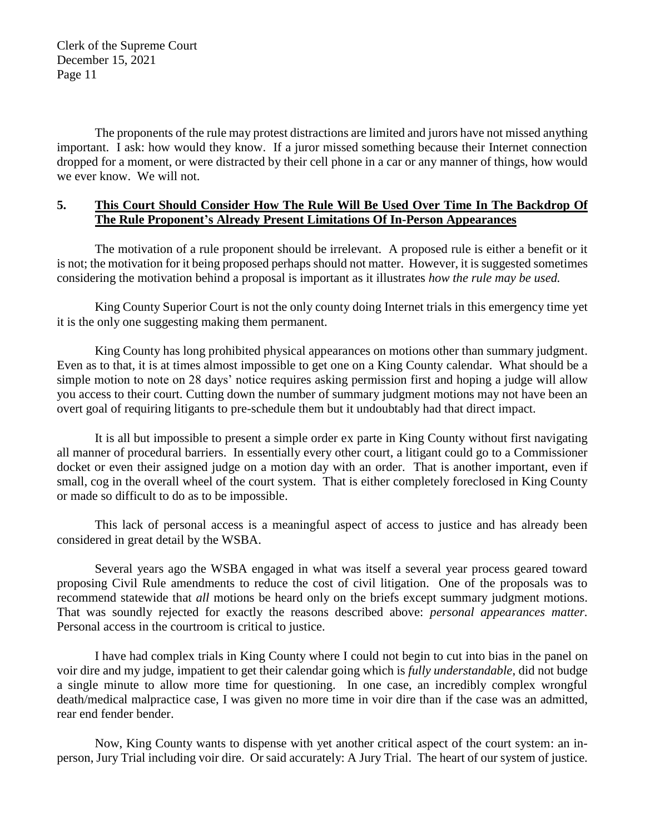The proponents of the rule may protest distractions are limited and jurors have not missed anything important. I ask: how would they know. If a juror missed something because their Internet connection dropped for a moment, or were distracted by their cell phone in a car or any manner of things, how would we ever know. We will not.

### **5. This Court Should Consider How The Rule Will Be Used Over Time In The Backdrop Of The Rule Proponent's Already Present Limitations Of In-Person Appearances**

The motivation of a rule proponent should be irrelevant. A proposed rule is either a benefit or it is not; the motivation for it being proposed perhaps should not matter. However, it is suggested sometimes considering the motivation behind a proposal is important as it illustrates *how the rule may be used.* 

King County Superior Court is not the only county doing Internet trials in this emergency time yet it is the only one suggesting making them permanent.

King County has long prohibited physical appearances on motions other than summary judgment. Even as to that, it is at times almost impossible to get one on a King County calendar. What should be a simple motion to note on 28 days' notice requires asking permission first and hoping a judge will allow you access to their court. Cutting down the number of summary judgment motions may not have been an overt goal of requiring litigants to pre-schedule them but it undoubtably had that direct impact.

It is all but impossible to present a simple order ex parte in King County without first navigating all manner of procedural barriers. In essentially every other court, a litigant could go to a Commissioner docket or even their assigned judge on a motion day with an order. That is another important, even if small, cog in the overall wheel of the court system. That is either completely foreclosed in King County or made so difficult to do as to be impossible.

This lack of personal access is a meaningful aspect of access to justice and has already been considered in great detail by the WSBA.

Several years ago the WSBA engaged in what was itself a several year process geared toward proposing Civil Rule amendments to reduce the cost of civil litigation. One of the proposals was to recommend statewide that *all* motions be heard only on the briefs except summary judgment motions. That was soundly rejected for exactly the reasons described above: *personal appearances matter.* Personal access in the courtroom is critical to justice.

I have had complex trials in King County where I could not begin to cut into bias in the panel on voir dire and my judge, impatient to get their calendar going which is *fully understandable*, did not budge a single minute to allow more time for questioning. In one case, an incredibly complex wrongful death/medical malpractice case, I was given no more time in voir dire than if the case was an admitted, rear end fender bender.

Now, King County wants to dispense with yet another critical aspect of the court system: an inperson, Jury Trial including voir dire. Or said accurately: A Jury Trial. The heart of our system of justice.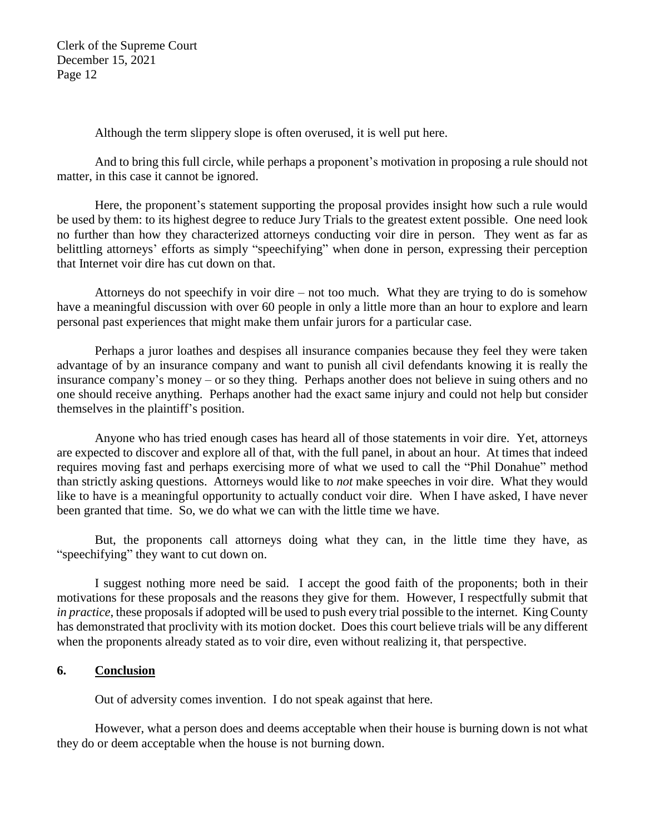Although the term slippery slope is often overused, it is well put here.

And to bring this full circle, while perhaps a proponent's motivation in proposing a rule should not matter, in this case it cannot be ignored.

Here, the proponent's statement supporting the proposal provides insight how such a rule would be used by them: to its highest degree to reduce Jury Trials to the greatest extent possible. One need look no further than how they characterized attorneys conducting voir dire in person. They went as far as belittling attorneys' efforts as simply "speechifying" when done in person, expressing their perception that Internet voir dire has cut down on that.

Attorneys do not speechify in voir dire – not too much. What they are trying to do is somehow have a meaningful discussion with over 60 people in only a little more than an hour to explore and learn personal past experiences that might make them unfair jurors for a particular case.

Perhaps a juror loathes and despises all insurance companies because they feel they were taken advantage of by an insurance company and want to punish all civil defendants knowing it is really the insurance company's money – or so they thing. Perhaps another does not believe in suing others and no one should receive anything. Perhaps another had the exact same injury and could not help but consider themselves in the plaintiff's position.

Anyone who has tried enough cases has heard all of those statements in voir dire. Yet, attorneys are expected to discover and explore all of that, with the full panel, in about an hour. At times that indeed requires moving fast and perhaps exercising more of what we used to call the "Phil Donahue" method than strictly asking questions. Attorneys would like to *not* make speeches in voir dire. What they would like to have is a meaningful opportunity to actually conduct voir dire. When I have asked, I have never been granted that time. So, we do what we can with the little time we have.

But, the proponents call attorneys doing what they can, in the little time they have, as "speechifying" they want to cut down on.

I suggest nothing more need be said. I accept the good faith of the proponents; both in their motivations for these proposals and the reasons they give for them. However, I respectfully submit that *in practice*, these proposals if adopted will be used to push every trial possible to the internet. King County has demonstrated that proclivity with its motion docket. Does this court believe trials will be any different when the proponents already stated as to voir dire, even without realizing it, that perspective.

#### **6. Conclusion**

Out of adversity comes invention. I do not speak against that here.

However, what a person does and deems acceptable when their house is burning down is not what they do or deem acceptable when the house is not burning down.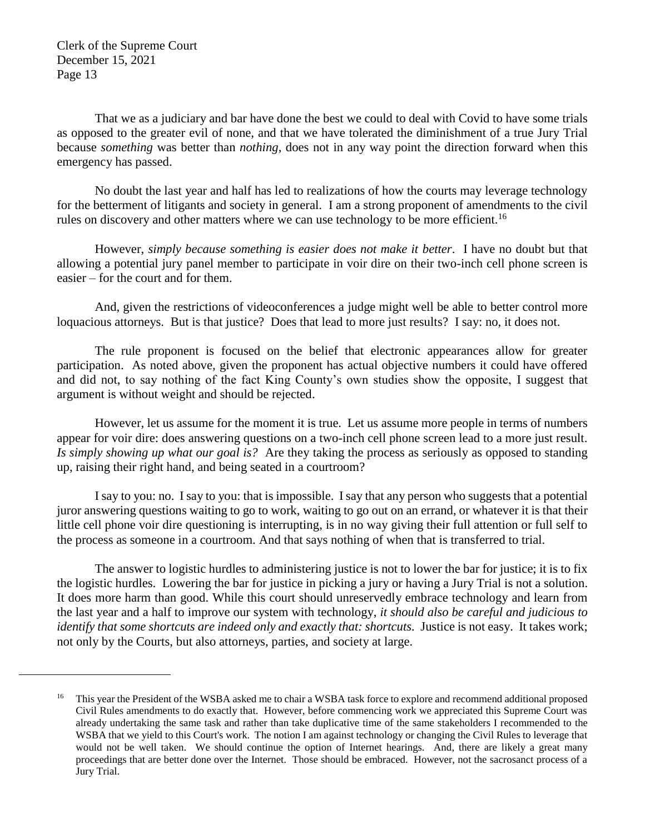$\overline{a}$ 

That we as a judiciary and bar have done the best we could to deal with Covid to have some trials as opposed to the greater evil of none, and that we have tolerated the diminishment of a true Jury Trial because *something* was better than *nothing*, does not in any way point the direction forward when this emergency has passed.

No doubt the last year and half has led to realizations of how the courts may leverage technology for the betterment of litigants and society in general. I am a strong proponent of amendments to the civil rules on discovery and other matters where we can use technology to be more efficient.<sup>16</sup>

However, *simply because something is easier does not make it better*. I have no doubt but that allowing a potential jury panel member to participate in voir dire on their two-inch cell phone screen is easier – for the court and for them.

And, given the restrictions of videoconferences a judge might well be able to better control more loquacious attorneys. But is that justice? Does that lead to more just results? I say: no, it does not.

The rule proponent is focused on the belief that electronic appearances allow for greater participation. As noted above, given the proponent has actual objective numbers it could have offered and did not, to say nothing of the fact King County's own studies show the opposite, I suggest that argument is without weight and should be rejected.

However, let us assume for the moment it is true. Let us assume more people in terms of numbers appear for voir dire: does answering questions on a two-inch cell phone screen lead to a more just result. *Is simply showing up what our goal is?* Are they taking the process as seriously as opposed to standing up, raising their right hand, and being seated in a courtroom?

I say to you: no. I say to you: that is impossible. I say that any person who suggests that a potential juror answering questions waiting to go to work, waiting to go out on an errand, or whatever it is that their little cell phone voir dire questioning is interrupting, is in no way giving their full attention or full self to the process as someone in a courtroom. And that says nothing of when that is transferred to trial.

The answer to logistic hurdles to administering justice is not to lower the bar for justice; it is to fix the logistic hurdles. Lowering the bar for justice in picking a jury or having a Jury Trial is not a solution. It does more harm than good. While this court should unreservedly embrace technology and learn from the last year and a half to improve our system with technology, *it should also be careful and judicious to identify that some shortcuts are indeed only and exactly that: shortcuts.* Justice is not easy. It takes work; not only by the Courts, but also attorneys, parties, and society at large.

<sup>&</sup>lt;sup>16</sup> This year the President of the WSBA asked me to chair a WSBA task force to explore and recommend additional proposed Civil Rules amendments to do exactly that. However, before commencing work we appreciated this Supreme Court was already undertaking the same task and rather than take duplicative time of the same stakeholders I recommended to the WSBA that we yield to this Court's work. The notion I am against technology or changing the Civil Rules to leverage that would not be well taken. We should continue the option of Internet hearings. And, there are likely a great many proceedings that are better done over the Internet. Those should be embraced. However, not the sacrosanct process of a Jury Trial.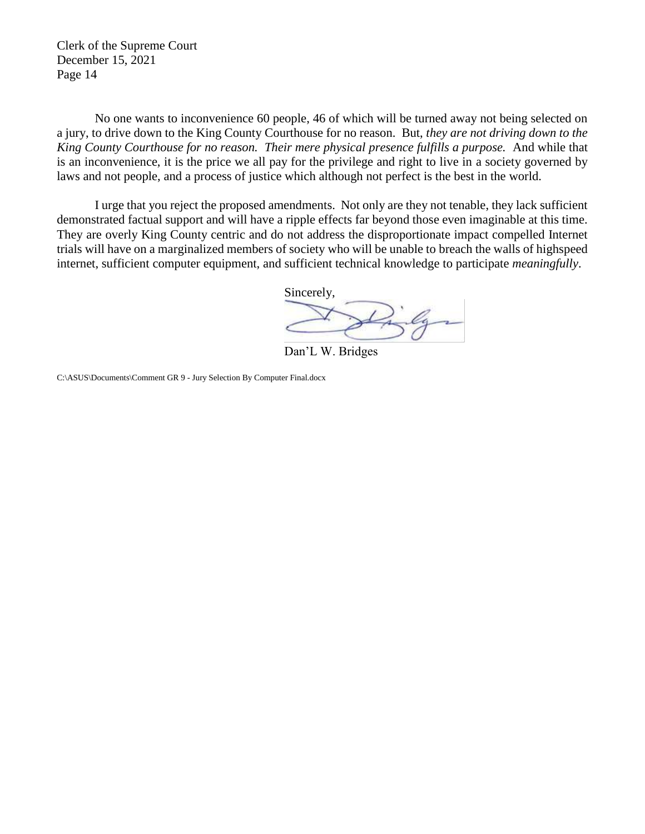No one wants to inconvenience 60 people, 46 of which will be turned away not being selected on a jury, to drive down to the King County Courthouse for no reason. But, *they are not driving down to the King County Courthouse for no reason. Their mere physical presence fulfills a purpose.* And while that is an inconvenience, it is the price we all pay for the privilege and right to live in a society governed by laws and not people, and a process of justice which although not perfect is the best in the world.

I urge that you reject the proposed amendments. Not only are they not tenable, they lack sufficient demonstrated factual support and will have a ripple effects far beyond those even imaginable at this time. They are overly King County centric and do not address the disproportionate impact compelled Internet trials will have on a marginalized members of society who will be unable to breach the walls of highspeed internet, sufficient computer equipment, and sufficient technical knowledge to participate *meaningfully*.

> Sincerely, Ly

Dan'L W. Bridges

C:\ASUS\Documents\Comment GR 9 - Jury Selection By Computer Final.docx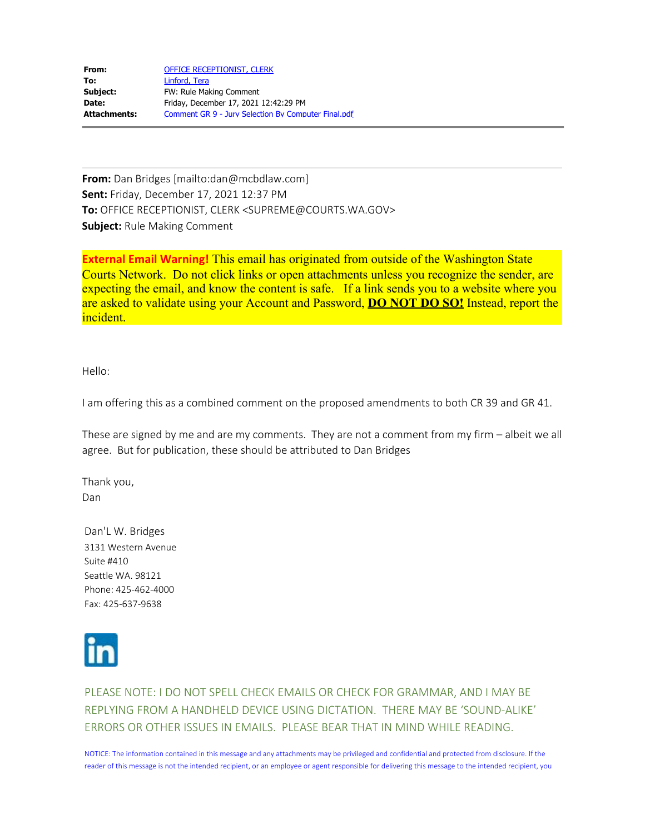| From:        | OFFICE RECEPTIONIST, CLERK                          |
|--------------|-----------------------------------------------------|
| To:          | Linford, Tera                                       |
| Subject:     | FW: Rule Making Comment                             |
| Date:        | Friday, December 17, 2021 12:42:29 PM               |
| Attachments: | Comment GR 9 - Jury Selection By Computer Final.pdf |

**From:** Dan Bridges [mailto:dan@mcbdlaw.com] **Sent:** Friday, December 17, 2021 12:37 PM **To:** OFFICE RECEPTIONIST, CLERK <SUPREME@COURTS.WA.GOV> **Subject:** Rule Making Comment

**External Email Warning!** This email has originated from outside of the Washington State Courts Network. Do not click links or open attachments unless you recognize the sender, are expecting the email, and know the content is safe. If a link sends you to a website where you are asked to validate using your Account and Password, **DO NOT DO SO!** Instead, report the incident.

Hello:

I am offering this as a combined comment on the proposed amendments to both CR 39 and GR 41.

These are signed by me and are my comments. They are not a comment from my firm – albeit we all agree. But for publication, these should be attributed to Dan Bridges

Thank you, Dan

Dan'L W. Bridges 3131 Western Avenue Suite #410 Seattle WA. 98121 Phone: 425-462-4000 Fax: 425-637-9638



PLEASE NOTE: I DO NOT SPELL CHECK EMAILS OR CHECK FOR GRAMMAR, AND I MAY BE REPLYING FROM A HANDHELD DEVICE USING DICTATION. THERE MAY BE 'SOUND-ALIKE' ERRORS OR OTHER ISSUES IN EMAILS. PLEASE BEAR THAT IN MIND WHILE READING.

NOTICE: The information contained in this message and any attachments may be privileged and confidential and protected from disclosure. If the reader of this message is not the intended recipient, or an employee or agent responsible for delivering this message to the intended recipient, you